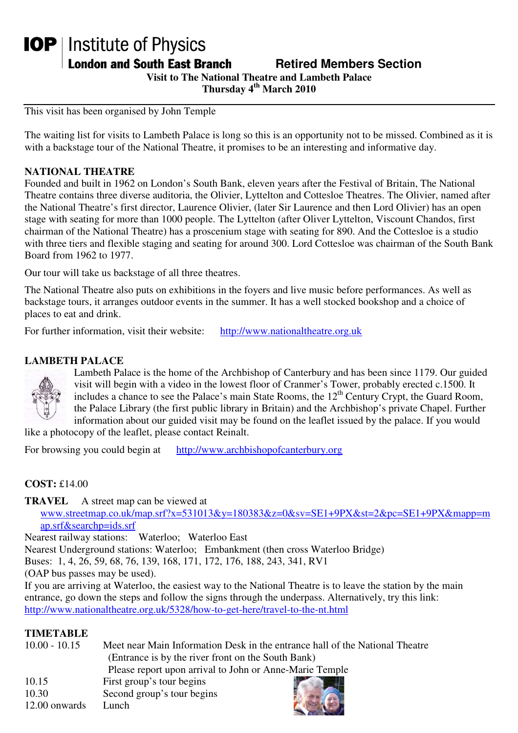# **IOP** | Institute of Physics

**London and South East Branch Fig. 2.1 Retired Members Section** 

**Visit to The National Theatre and Lambeth Palace** 

**Thursday 4th March 2010** 

This visit has been organised by John Temple

The waiting list for visits to Lambeth Palace is long so this is an opportunity not to be missed. Combined as it is with a backstage tour of the National Theatre, it promises to be an interesting and informative day.

#### **NATIONAL THEATRE**

Founded and built in 1962 on London's South Bank, eleven years after the Festival of Britain, The National Theatre contains three diverse auditoria, the Olivier, Lyttelton and Cottesloe Theatres. The Olivier, named after the National Theatre's first director, Laurence Olivier, (later Sir Laurence and then Lord Olivier) has an open stage with seating for more than 1000 people. The Lyttelton (after Oliver Lyttelton, Viscount Chandos, first chairman of the National Theatre) has a proscenium stage with seating for 890. And the Cottesloe is a studio with three tiers and flexible staging and seating for around 300. Lord Cottesloe was chairman of the South Bank Board from 1962 to 1977.

Our tour will take us backstage of all three theatres.

The National Theatre also puts on exhibitions in the foyers and live music before performances. As well as backstage tours, it arranges outdoor events in the summer. It has a well stocked bookshop and a choice of places to eat and drink.

For further information, visit their website: http://www.nationaltheatre.org.uk

## **LAMBETH PALACE**



Lambeth Palace is the home of the Archbishop of Canterbury and has been since 1179. Our guided visit will begin with a video in the lowest floor of Cranmer's Tower, probably erected c.1500. It includes a chance to see the Palace's main State Rooms, the  $12<sup>th</sup>$  Century Crypt, the Guard Room, the Palace Library (the first public library in Britain) and the Archbishop's private Chapel. Further information about our guided visit may be found on the leaflet issued by the palace. If you would

like a photocopy of the leaflet, please contact Reinalt.

For browsing you could begin at http://www.archbishopofcanterbury.org

#### **COST:** £14.00

**TRAVEL** A street map can be viewed at

www.streetmap.co.uk/map.srf?x=531013&y=180383&z=0&sv=SE1+9PX&st=2&pc=SE1+9PX&mapp=m ap.srf&searchp=ids.srf

Nearest railway stations: Waterloo; Waterloo East

Nearest Underground stations: Waterloo; Embankment (then cross Waterloo Bridge)

Buses: 1, 4, 26, 59, 68, 76, 139, 168, 171, 172, 176, 188, 243, 341, RV1

(OAP bus passes may be used).

If you are arriving at Waterloo, the easiest way to the National Theatre is to leave the station by the main entrance, go down the steps and follow the signs through the underpass. Alternatively, try this link: http://www.nationaltheatre.org.uk/5328/how-to-get-here/travel-to-the-nt.html

# **TIMETABLE**

| $10.00 - 10.15$ | Meet near Main Information Desk in the entrance hall of the National Theatre<br>(Entrance is by the river front on the South Bank) |  |
|-----------------|------------------------------------------------------------------------------------------------------------------------------------|--|
|                 |                                                                                                                                    |  |
|                 | Please report upon arrival to John or Anne-Marie Temple                                                                            |  |
| 10.15           | First group's tour begins                                                                                                          |  |
| 10.30           | Second group's tour begins                                                                                                         |  |
| 12.00 onwards   | Lunch                                                                                                                              |  |